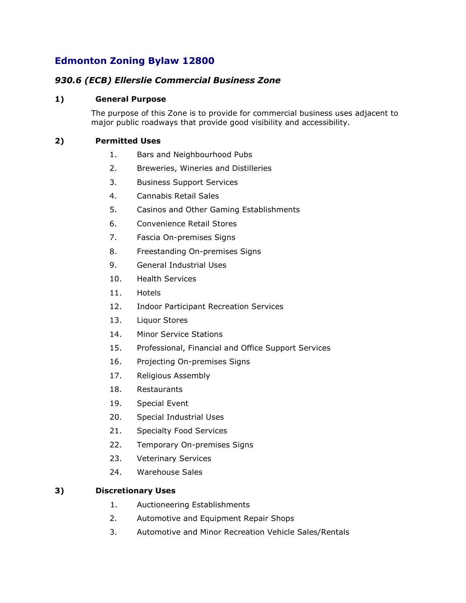# **Edmonton Zoning Bylaw 12800**

## *930.6 (ECB) Ellerslie Commercial Business Zone*

### **1) General Purpose**

The purpose of this Zone is to provide for commercial business uses adjacent to major public roadways that provide good visibility and accessibility.

## **2) Permitted Uses**

- 1. Bars and Neighbourhood Pubs
- 2. Breweries, Wineries and Distilleries
- 3. Business Support Services
- 4. Cannabis Retail Sales
- 5. Casinos and Other Gaming Establishments
- 6. Convenience Retail Stores
- 7. Fascia On-premises Signs
- 8. Freestanding On-premises Signs
- 9. General Industrial Uses
- 10. Health Services
- 11. Hotels
- 12. Indoor Participant Recreation Services
- 13. Liquor Stores
- 14. Minor Service Stations
- 15. Professional, Financial and Office Support Services
- 16. Projecting On-premises Signs
- 17. Religious Assembly
- 18. Restaurants
- 19. Special Event
- 20. Special Industrial Uses
- 21. Specialty Food Services
- 22. Temporary On-premises Signs
- 23. Veterinary Services
- 24. Warehouse Sales

#### **3) Discretionary Uses**

- 1. Auctioneering Establishments
- 2. Automotive and Equipment Repair Shops
- 3. Automotive and Minor Recreation Vehicle Sales/Rentals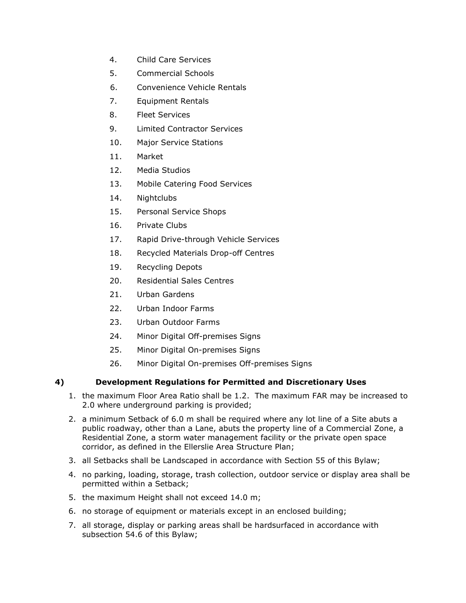- 4. Child Care Services
- 5. Commercial Schools
- 6. Convenience Vehicle Rentals
- 7. Equipment Rentals
- 8. Fleet Services
- 9. Limited Contractor Services
- 10. Major Service Stations
- 11. Market
- 12. Media Studios
- 13. Mobile Catering Food Services
- 14. Nightclubs
- 15. Personal Service Shops
- 16. Private Clubs
- 17. Rapid Drive-through Vehicle Services
- 18. Recycled Materials Drop-off Centres
- 19. Recycling Depots
- 20. Residential Sales Centres
- 21. Urban Gardens
- 22. Urban Indoor Farms
- 23. Urban Outdoor Farms
- 24. Minor Digital Off-premises Signs
- 25. Minor Digital On-premises Signs
- 26. Minor Digital On-premises Off-premises Signs

#### **4) Development Regulations for Permitted and Discretionary Uses**

- 1. the maximum Floor Area Ratio shall be 1.2. The maximum FAR may be increased to 2.0 where underground parking is provided;
- 2. a minimum Setback of 6.0 m shall be required where any lot line of a Site abuts a public roadway, other than a Lane, abuts the property line of a Commercial Zone, a Residential Zone, a storm water management facility or the private open space corridor, as defined in the Ellerslie Area Structure Plan;
- 3. all Setbacks shall be Landscaped in accordance with Section 55 of this Bylaw;
- 4. no parking, loading, storage, trash collection, outdoor service or display area shall be permitted within a Setback;
- 5. the maximum Height shall not exceed 14.0 m;
- 6. no storage of equipment or materials except in an enclosed building;
- 7. all storage, display or parking areas shall be hardsurfaced in accordance with subsection 54.6 of this Bylaw;